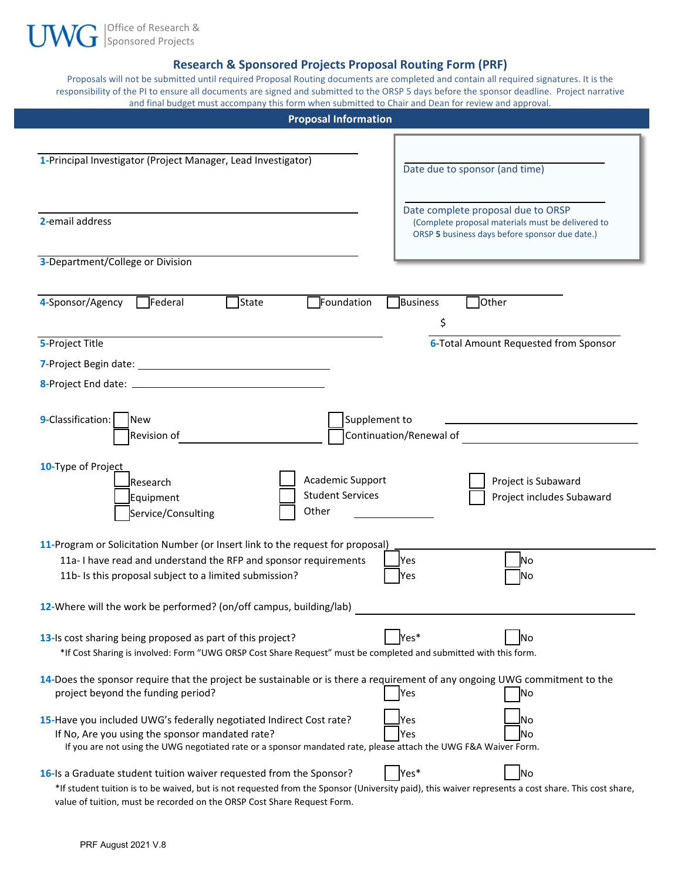

### **Research & Sponsored Projects Proposal Routing Form (PRF)**

Proposals will not be submitted until required Proposal Routing documents are completed and contain all required signatures. It is the responsibility of the PI to ensure all documents are signed and submitted to the ORSP 5 days before the sponsor deadline. Project narrative and final budget must accompany this form when submitted to Chair and Dean for review and approval.

| <b>Proposal Information</b>                                                                                                                                                                                                                                                            |                                                                                                                                           |  |  |
|----------------------------------------------------------------------------------------------------------------------------------------------------------------------------------------------------------------------------------------------------------------------------------------|-------------------------------------------------------------------------------------------------------------------------------------------|--|--|
| 1-Principal Investigator (Project Manager, Lead Investigator)                                                                                                                                                                                                                          | Date due to sponsor (and time)                                                                                                            |  |  |
| 2-email address                                                                                                                                                                                                                                                                        | Date complete proposal due to ORSP<br>(Complete proposal materials must be delivered to<br>ORSP 5 business days before sponsor due date.) |  |  |
| 3-Department/College or Division                                                                                                                                                                                                                                                       |                                                                                                                                           |  |  |
| 4-Sponsor/Agency<br>Federal<br>State<br>Foundation                                                                                                                                                                                                                                     | Business<br>Other<br>\$                                                                                                                   |  |  |
| 5-Project Title                                                                                                                                                                                                                                                                        | <b>6-Total Amount Requested from Sponsor</b>                                                                                              |  |  |
|                                                                                                                                                                                                                                                                                        |                                                                                                                                           |  |  |
|                                                                                                                                                                                                                                                                                        |                                                                                                                                           |  |  |
| 9-Classification:<br>Supplement to<br><b>New</b><br>Revision of<br>10-Type of Project<br>Academic Support<br><b>JResearch</b><br><b>Student Services</b><br>Equipment<br>Other<br>Service/Consulting<br>11-Program or Solicitation Number (or Insert link to the request for proposal) | Continuation/Renewal of<br>Project is Subaward<br>Project includes Subaward                                                               |  |  |
| 11a-I have read and understand the RFP and sponsor requirements                                                                                                                                                                                                                        | Yes<br>N <sub>o</sub>                                                                                                                     |  |  |
| 11b- Is this proposal subject to a limited submission?                                                                                                                                                                                                                                 | No.<br>Yes                                                                                                                                |  |  |
| 12-Where will the work be performed? (on/off campus, building/lab)                                                                                                                                                                                                                     |                                                                                                                                           |  |  |
| 13-Is cost sharing being proposed as part of this project?<br>*If Cost Sharing is involved: Form "UWG ORSP Cost Share Request" must be completed and submitted with this form.                                                                                                         | Yes*<br>No                                                                                                                                |  |  |
| 14-Does the sponsor require that the project be sustainable or is there a requirement of any ongoing UWG commitment to the<br>project beyond the funding period?                                                                                                                       | Yes<br> No                                                                                                                                |  |  |
| 15-Have you included UWG's federally negotiated Indirect Cost rate?<br>If No, Are you using the sponsor mandated rate?<br>If you are not using the UWG negotiated rate or a sponsor mandated rate, please attach the UWG F&A Waiver Form.                                              | No<br>Yes<br> No<br>Yes                                                                                                                   |  |  |
| 16-Is a Graduate student tuition waiver requested from the Sponsor?<br>*If student tuition is to be waived, but is not requested from the Sponsor (University paid), this waiver represents a cost share. This cost share,                                                             | Yes*<br>No                                                                                                                                |  |  |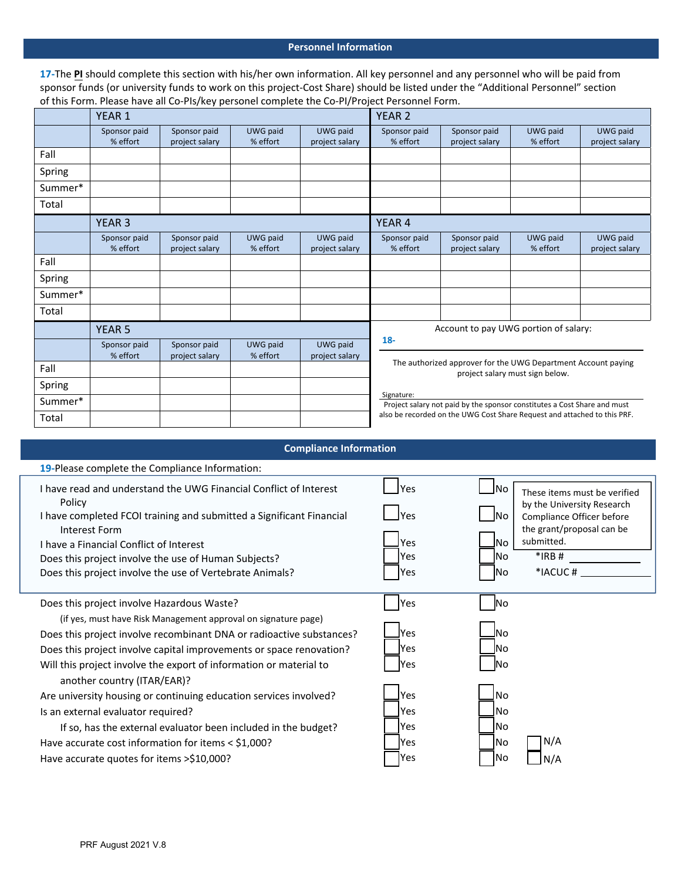#### **Personnel Information**

17-The PI should complete this section with his/her own information. All key personnel and any personnel who will be paid from sponsor funds (or university funds to work on this project‐Cost Share) should be listed under the "Additional Personnel" section of this Form. Please have all Co‐PIs/key personel complete the Co‐PI/Project Personnel Form.

|         | YEAR <sub>1</sub> |                |                 | <b>YEAR 2</b>  |              |                                                                          |                                 |                |
|---------|-------------------|----------------|-----------------|----------------|--------------|--------------------------------------------------------------------------|---------------------------------|----------------|
|         | Sponsor paid      | Sponsor paid   | UWG paid        | UWG paid       | Sponsor paid | Sponsor paid                                                             | UWG paid                        | UWG paid       |
|         | % effort          | project salary | % effort        | project salary | % effort     | project salary                                                           | % effort                        | project salary |
| Fall    |                   |                |                 |                |              |                                                                          |                                 |                |
| Spring  |                   |                |                 |                |              |                                                                          |                                 |                |
| Summer* |                   |                |                 |                |              |                                                                          |                                 |                |
| Total   |                   |                |                 |                |              |                                                                          |                                 |                |
|         | YEAR <sub>3</sub> |                |                 |                | YEAR 4       |                                                                          |                                 |                |
|         | Sponsor paid      | Sponsor paid   | <b>UWG paid</b> | UWG paid       | Sponsor paid | Sponsor paid                                                             | UWG paid                        | UWG paid       |
|         | % effort          | project salary | % effort        | project salary | % effort     | project salary                                                           | % effort                        | project salary |
| Fall    |                   |                |                 |                |              |                                                                          |                                 |                |
| Spring  |                   |                |                 |                |              |                                                                          |                                 |                |
| Summer* |                   |                |                 |                |              |                                                                          |                                 |                |
| Total   |                   |                |                 |                |              |                                                                          |                                 |                |
|         | <b>YEAR 5</b>     |                |                 |                |              | Account to pay UWG portion of salary:                                    |                                 |                |
|         | Sponsor paid      | Sponsor paid   | UWG paid        | UWG paid       | $18-$        |                                                                          |                                 |                |
|         | % effort          | project salary | % effort        | project salary |              |                                                                          |                                 |                |
| Fall    |                   |                |                 |                |              | The authorized approver for the UWG Department Account paying            | project salary must sign below. |                |
| Spring  |                   |                |                 |                |              |                                                                          |                                 |                |
| Summer* |                   |                |                 |                | Signature:   | Project salary not paid by the sponsor constitutes a Cost Share and must |                                 |                |
| Total   |                   |                |                 |                |              | also be recorded on the UWG Cost Share Request and attached to this PRF. |                                 |                |

| <b>Compliance Information</b>                                                                                                                                                                                                                                                                                                       |                                                        |                                                                                                                                                                                                           |  |
|-------------------------------------------------------------------------------------------------------------------------------------------------------------------------------------------------------------------------------------------------------------------------------------------------------------------------------------|--------------------------------------------------------|-----------------------------------------------------------------------------------------------------------------------------------------------------------------------------------------------------------|--|
| 19-Please complete the Compliance Information:                                                                                                                                                                                                                                                                                      |                                                        |                                                                                                                                                                                                           |  |
| I have read and understand the UWG Financial Conflict of Interest<br>Policy<br>I have completed FCOI training and submitted a Significant Financial<br>Interest Form<br>I have a Financial Conflict of Interest<br>Does this project involve the use of Human Subjects?<br>Does this project involve the use of Vertebrate Animals? | <b>IYes</b><br><b>IYes</b><br>Yes<br>Yes<br><b>Yes</b> | <b>No</b><br>These items must be verified<br>by the University Research<br><b>No</b><br>Compliance Officer before<br>the grant/proposal can be<br>submitted.<br>lNo<br>$*$ IRB#<br>INo.<br>*IACUC#<br>No. |  |
| Does this project involve Hazardous Waste?                                                                                                                                                                                                                                                                                          | <b>Yes</b>                                             | N <sub>o</sub>                                                                                                                                                                                            |  |
| (if yes, must have Risk Management approval on signature page)<br>Does this project involve recombinant DNA or radioactive substances?<br>Does this project involve capital improvements or space renovation?<br>Will this project involve the export of information or material to                                                 | <b>IYes</b><br><b>IYes</b><br><b>Yes</b>               | <u>l</u> No<br>lNo<br>lNo                                                                                                                                                                                 |  |
| another country (ITAR/EAR)?<br>Are university housing or continuing education services involved?<br>Is an external evaluator required?<br>If so, has the external evaluator been included in the budget?<br>Have accurate cost information for items < \$1,000?                                                                     | <b>IYes</b><br>lYes<br><b>Yes</b><br>lYes              | No.<br>N <sub>0</sub><br>lNo<br>N/A<br>No                                                                                                                                                                 |  |
| Have accurate quotes for items >\$10,000?                                                                                                                                                                                                                                                                                           | Yes                                                    | lNo<br>N/A                                                                                                                                                                                                |  |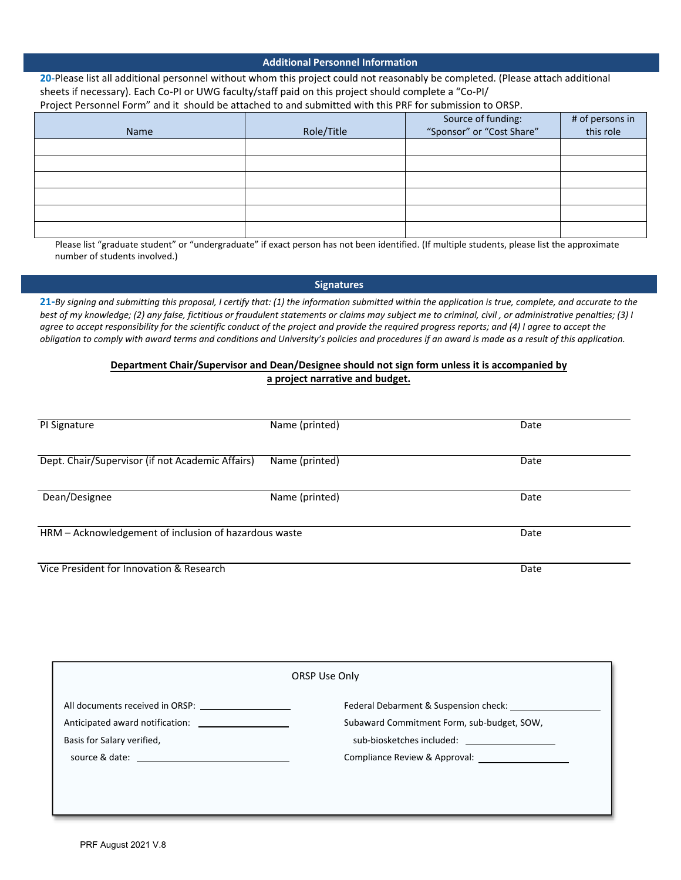|  | <b>Additional Personnel Information</b> |
|--|-----------------------------------------|
|  |                                         |

**20‐**Please list all additional personnel without whom this project could not reasonably be completed. (Please attach additional sheets if necessary). Each Co-PI or UWG faculty/staff paid on this project should complete a "Co-PI/ Project Personnel Form" and it should be attached to and submitted with this PRF for submission to ORSP.

| Name | Role/Title | Source of funding:<br>"Sponsor" or "Cost Share" | # of persons in<br>this role |
|------|------------|-------------------------------------------------|------------------------------|
|      |            |                                                 |                              |
|      |            |                                                 |                              |
|      |            |                                                 |                              |
|      |            |                                                 |                              |
|      |            |                                                 |                              |
|      |            |                                                 |                              |

Please list "graduate student" or "undergraduate" if exact person has not been identified. (If multiple students, please list the approximate number of students involved.)

#### **Signatures**

21-By signing and submitting this proposal, I certify that: (1) the information submitted within the application is true, complete, and accurate to the best of my knowledge; (2) any false, fictitious or fraudulent statements or claims may subject me to criminal, civil, or administrative penalties; (3) I agree to accept responsibility for the scientific conduct of the project and provide the required progress reports; and (4) I agree to accept the obligation to comply with award terms and conditions and University's policies and procedures if an award is made as a result of this application.

#### **Department Chair/Supervisor and Dean/Designee should not sign form unless it is accompanied by a project narrative and budget.**

| PI Signature                                          | Name (printed) | Date |
|-------------------------------------------------------|----------------|------|
| Dept. Chair/Supervisor (if not Academic Affairs)      | Name (printed) | Date |
| Dean/Designee                                         | Name (printed) | Date |
| HRM - Acknowledgement of inclusion of hazardous waste |                | Date |
| Vice President for Innovation & Research              |                | Date |

| ORSP Use Only                   |                                                      |  |
|---------------------------------|------------------------------------------------------|--|
| All documents received in ORSP: |                                                      |  |
|                                 | Subaward Commitment Form, sub-budget, SOW,           |  |
| Basis for Salary verified,      | sub-biosketches included: which is a set of the sub- |  |
|                                 |                                                      |  |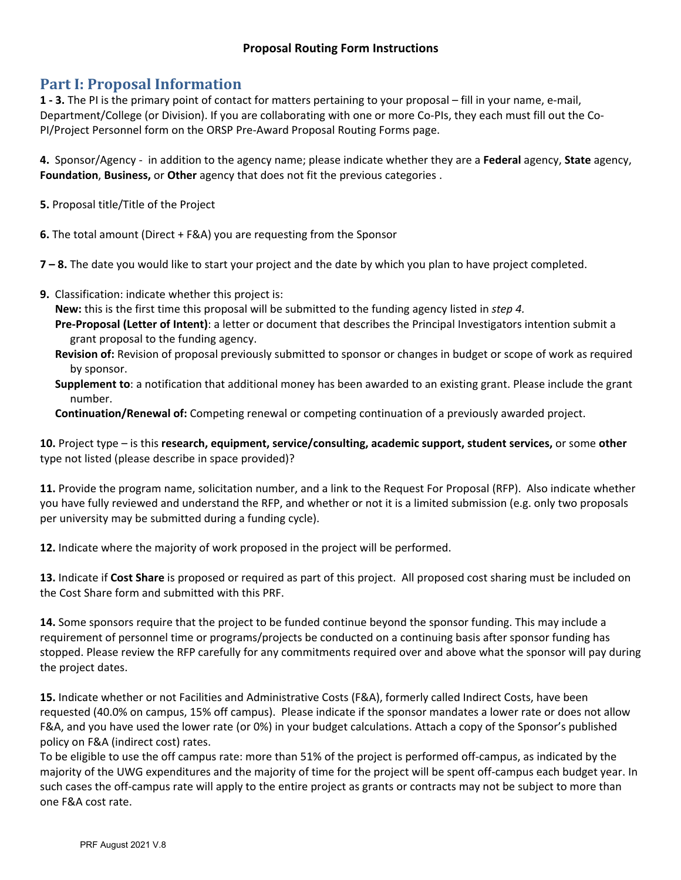## **Part I: Proposal Information**

**1 ‐ 3.** The PI is the primary point of contact for matters pertaining to your proposal – fill in your name, e‐mail, Department/College (or Division). If you are collaborating with one or more Co-PIs, they each must fill out the Co-PI/Project Personnel form on the ORSP Pre‐Award Proposal Routing Forms page.

**4.** Sponsor/Agency ‐ in addition to the agency name; please indicate whether they are a **Federal** agency, **State** agency, **Foundation**, **Business,** or **Other** agency that does not fit the previous categories .

**5.** Proposal title/Title of the Project

**6.** The total amount (Direct + F&A) you are requesting from the Sponsor

**7 – 8.** The date you would like to start your project and the date by which you plan to have project completed.

**9.** Classification: indicate whether this project is:

**New:** this is the first time this proposal will be submitted to the funding agency listed in *step 4.*

- **Pre‐Proposal (Letter of Intent)**: a letter or document that describes the Principal Investigators intention submit a grant proposal to the funding agency.
- **Revision of:** Revision of proposal previously submitted to sponsor or changes in budget or scope of work as required by sponsor.
- **Supplement to**: a notification that additional money has been awarded to an existing grant. Please include the grant number.

**Continuation/Renewal of:** Competing renewal or competing continuation of a previously awarded project.

**10.** Project type – is this **research, equipment, service/consulting, academic support, student services,** or some **other** type not listed (please describe in space provided)?

**11.** Provide the program name, solicitation number, and a link to the Request For Proposal (RFP). Also indicate whether you have fully reviewed and understand the RFP, and whether or not it is a limited submission (e.g. only two proposals per university may be submitted during a funding cycle).

**12.** Indicate where the majority of work proposed in the project will be performed.

**13.** Indicate if **Cost Share** is proposed or required as part of this project. All proposed cost sharing must be included on the Cost Share form and submitted with this PRF.

**14.** Some sponsors require that the project to be funded continue beyond the sponsor funding. This may include a requirement of personnel time or programs/projects be conducted on a continuing basis after sponsor funding has stopped. Please review the RFP carefully for any commitments required over and above what the sponsor will pay during the project dates.

**15.** Indicate whether or not Facilities and Administrative Costs (F&A), formerly called Indirect Costs, have been requested (40.0% on campus, 15% off campus). Please indicate if the sponsor mandates a lower rate or does not allow F&A, and you have used the lower rate (or 0%) in your budget calculations. Attach a copy of the Sponsor's published policy on F&A (indirect cost) rates.

To be eligible to use the off campus rate: more than 51% of the project is performed off‐campus, as indicated by the majority of the UWG expenditures and the majority of time for the project will be spent off-campus each budget year. In such cases the off-campus rate will apply to the entire project as grants or contracts may not be subject to more than one F&A cost rate.